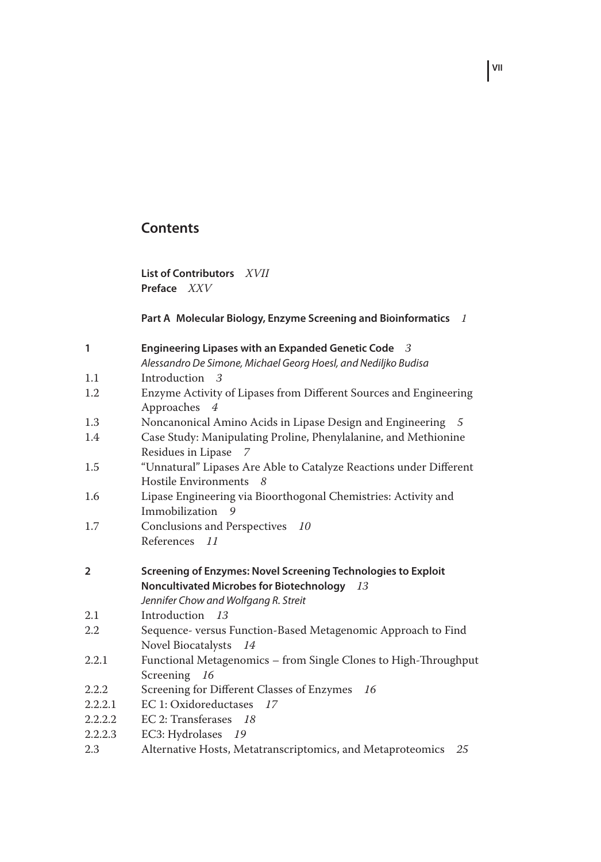## **Contents**

**List of Contributors** *XVII* **Preface** *XXV*

## **Part A Molecular Biology, Enzyme Screening and Bioinformatics** *1*

| $\mathbf{1}$   | Engineering Lipases with an Expanded Genetic Code 3                |
|----------------|--------------------------------------------------------------------|
|                | Alessandro De Simone, Michael Georg Hoesl, and Nediljko Budisa     |
| 1.1            | Introduction 3                                                     |
| 1.2            | Enzyme Activity of Lipases from Different Sources and Engineering  |
|                | Approaches<br>$\overline{4}$                                       |
| 1.3            | Noncanonical Amino Acids in Lipase Design and Engineering 5        |
| 1.4            | Case Study: Manipulating Proline, Phenylalanine, and Methionine    |
|                | Residues in Lipase<br>7                                            |
| 1.5            | "Unnatural" Lipases Are Able to Catalyze Reactions under Different |
|                | Hostile Environments 8                                             |
| 1.6            | Lipase Engineering via Bioorthogonal Chemistries: Activity and     |
|                | Immobilization 9                                                   |
| 1.7            | Conclusions and Perspectives 10                                    |
|                | References 11                                                      |
|                |                                                                    |
|                |                                                                    |
| $\overline{2}$ | Screening of Enzymes: Novel Screening Technologies to Exploit      |
|                | Noncultivated Microbes for Biotechnology 13                        |
|                | Jennifer Chow and Wolfgang R. Streit                               |
| 2.1            | Introduction 13                                                    |
| 2.2            | Sequence- versus Function-Based Metagenomic Approach to Find       |
|                | Novel Biocatalysts 14                                              |
| 2.2.1          | Functional Metagenomics - from Single Clones to High-Throughput    |
|                | Screening 16                                                       |
| 2.2.2          | Screening for Different Classes of Enzymes 16                      |
| 2.2.2.1        | EC 1: Oxidoreductases 17                                           |
| 2.2.2.2        | EC 2: Transferases 18                                              |
| 2.2.2.3        | EC3: Hydrolases 19                                                 |

**VII**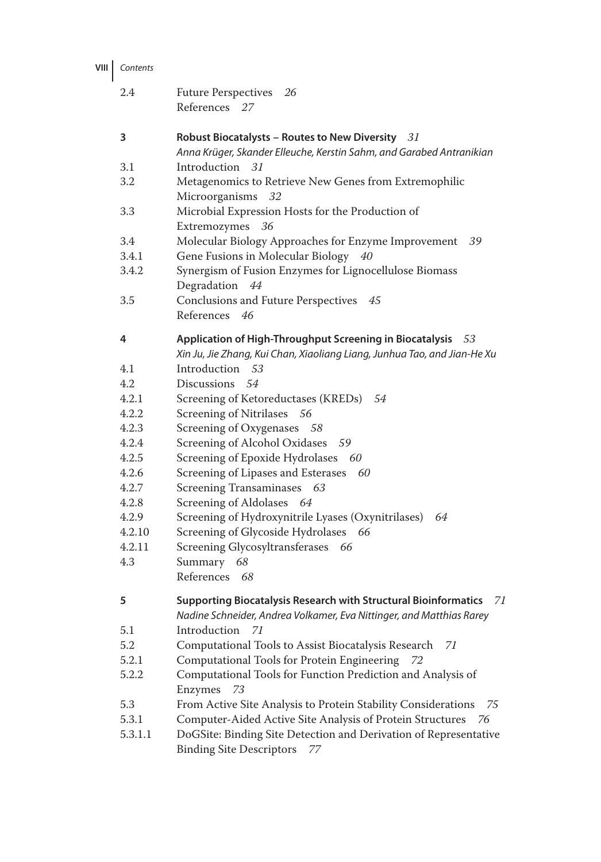| <b>VIII</b> | Contents |
|-------------|----------|
|             |          |

| 2.4     | Future Perspectives 26<br>References 27                                                                                                              |
|---------|------------------------------------------------------------------------------------------------------------------------------------------------------|
| 3       | Robust Biocatalysts - Routes to New Diversity $31$<br>Anna Krüger, Skander Elleuche, Kerstin Sahm, and Garabed Antranikian                           |
| 3.1     | Introduction<br>31                                                                                                                                   |
| 3.2     | Metagenomics to Retrieve New Genes from Extremophilic<br>Microorganisms<br>32                                                                        |
| 3.3     | Microbial Expression Hosts for the Production of<br>Extremozymes<br>36                                                                               |
| 3.4     | Molecular Biology Approaches for Enzyme Improvement<br>-39                                                                                           |
| 3.4.1   | Gene Fusions in Molecular Biology 40                                                                                                                 |
| 3.4.2   | Synergism of Fusion Enzymes for Lignocellulose Biomass<br>Degradation<br>44                                                                          |
| 3.5     | Conclusions and Future Perspectives<br>45                                                                                                            |
|         | References<br>46                                                                                                                                     |
| 4       | Application of High-Throughput Screening in Biocatalysis<br>53<br>Xin Ju, Jie Zhang, Kui Chan, Xiaoliang Liang, Junhua Tao, and Jian-He Xu           |
| 4.1     | Introduction<br>53                                                                                                                                   |
| 4.2     | Discussions<br>54                                                                                                                                    |
| 4.2.1   | Screening of Ketoreductases (KREDs) 54                                                                                                               |
| 4.2.2   | Screening of Nitrilases 56                                                                                                                           |
| 4.2.3   | Screening of Oxygenases 58                                                                                                                           |
| 4.2.4   | Screening of Alcohol Oxidases<br>- 59                                                                                                                |
| 4.2.5   | Screening of Epoxide Hydrolases 60                                                                                                                   |
| 4.2.6   | Screening of Lipases and Esterases 60                                                                                                                |
| 4.2.7   | Screening Transaminases 63                                                                                                                           |
| 4.2.8   | Screening of Aldolases 64                                                                                                                            |
| 4.2.9   | Screening of Hydroxynitrile Lyases (Oxynitrilases)<br>64                                                                                             |
| 4.2.10  | Screening of Glycoside Hydrolases 66                                                                                                                 |
| 4.2.11  | Screening Glycosyltransferases 66                                                                                                                    |
| 4.3     | Summary<br>68                                                                                                                                        |
|         | References 68                                                                                                                                        |
| 5       | <b>Supporting Biocatalysis Research with Structural Bioinformatics</b><br>71<br>Nadine Schneider, Andrea Volkamer, Eva Nittinger, and Matthias Rarey |
| 5.1     | Introduction<br>71                                                                                                                                   |
| 5.2     | Computational Tools to Assist Biocatalysis Research<br>71                                                                                            |
| 5.2.1   | Computational Tools for Protein Engineering<br>72                                                                                                    |
| 5.2.2   | Computational Tools for Function Prediction and Analysis of                                                                                          |
|         | Enzymes<br>73                                                                                                                                        |
| 5.3     | From Active Site Analysis to Protein Stability Considerations<br>75                                                                                  |
| 5.3.1   | Computer-Aided Active Site Analysis of Protein Structures<br>76                                                                                      |
| 5.3.1.1 | DoGSite: Binding Site Detection and Derivation of Representative<br><b>Binding Site Descriptors</b><br>77                                            |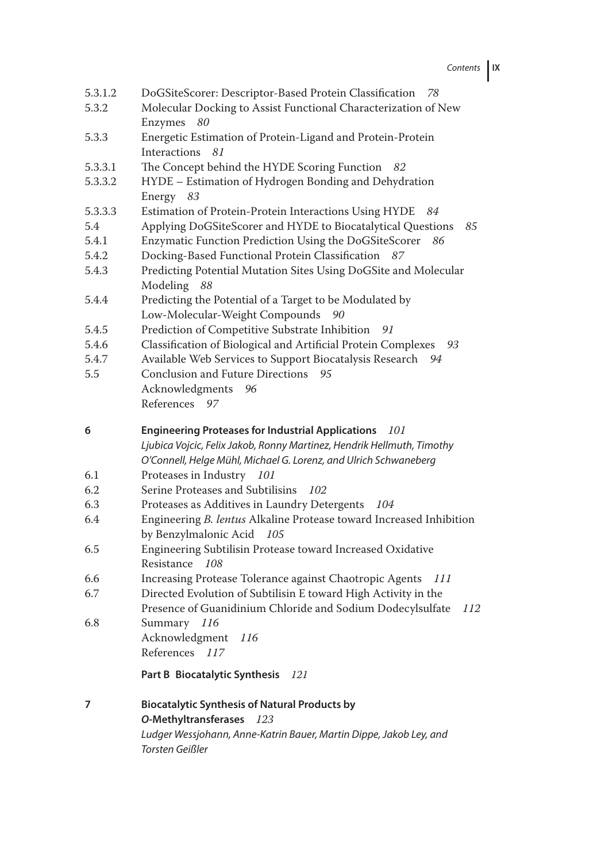Contents **IX**

| 5.3.1.2<br>5.3.2 | DoGSiteScorer: Descriptor-Based Protein Classification<br>78<br>Molecular Docking to Assist Functional Characterization of New |
|------------------|--------------------------------------------------------------------------------------------------------------------------------|
|                  | Enzymes<br>80                                                                                                                  |
| 5.3.3            | Energetic Estimation of Protein-Ligand and Protein-Protein                                                                     |
|                  | Interactions<br>81                                                                                                             |
| 5.3.3.1          | The Concept behind the HYDE Scoring Function<br>- 82                                                                           |
| 5.3.3.2          | HYDE - Estimation of Hydrogen Bonding and Dehydration                                                                          |
|                  | Energy<br>83                                                                                                                   |
| 5.3.3.3          | Estimation of Protein-Protein Interactions Using HYDE<br>84                                                                    |
| 5.4              | Applying DoGSiteScorer and HYDE to Biocatalytical Questions<br>85                                                              |
| 5.4.1            | Enzymatic Function Prediction Using the DoGSiteScorer<br>86                                                                    |
| 5.4.2            | Docking-Based Functional Protein Classification<br>87                                                                          |
| 5.4.3            | Predicting Potential Mutation Sites Using DoGSite and Molecular                                                                |
|                  | Modeling<br>88                                                                                                                 |
| 5.4.4            | Predicting the Potential of a Target to be Modulated by                                                                        |
| 5.4.5            | Low-Molecular-Weight Compounds<br>90<br>Prediction of Competitive Substrate Inhibition                                         |
| 5.4.6            | 91<br>Classification of Biological and Artificial Protein Complexes<br>93                                                      |
| 5.4.7            | Available Web Services to Support Biocatalysis Research<br>94                                                                  |
| 5.5              | Conclusion and Future Directions<br>95                                                                                         |
|                  | Acknowledgments<br>96                                                                                                          |
|                  | References 97                                                                                                                  |
|                  |                                                                                                                                |
|                  |                                                                                                                                |
| 6                | <b>Engineering Proteases for Industrial Applications</b><br>101                                                                |
|                  | Ljubica Vojcic, Felix Jakob, Ronny Martinez, Hendrik Hellmuth, Timothy                                                         |
|                  | O'Connell, Helge Mühl, Michael G. Lorenz, and Ulrich Schwaneberg                                                               |
| 6.1              | Proteases in Industry 101                                                                                                      |
| 6.2              | Serine Proteases and Subtilisins<br>102                                                                                        |
| 6.3              | Proteases as Additives in Laundry Detergents<br>104                                                                            |
| 6.4              | Engineering B. lentus Alkaline Protease toward Increased Inhibition<br>by Benzylmalonic Acid<br>- 105                          |
| 6.5              | Engineering Subtilisin Protease toward Increased Oxidative                                                                     |
|                  | Resistance 108                                                                                                                 |
| 6.6              | Increasing Protease Tolerance against Chaotropic Agents<br>111                                                                 |
| 6.7              | Directed Evolution of Subtilisin E toward High Activity in the                                                                 |
|                  | Presence of Guanidinium Chloride and Sodium Dodecylsulfate<br>112                                                              |
| 6.8              | Summary<br>116                                                                                                                 |
|                  | Acknowledgment 116                                                                                                             |
|                  | References 117                                                                                                                 |
|                  | Part B Biocatalytic Synthesis<br>121                                                                                           |
|                  |                                                                                                                                |
| 7                | <b>Biocatalytic Synthesis of Natural Products by</b>                                                                           |
|                  | O-Methyltransferases<br>123<br>Ludger Wessjohann, Anne-Katrin Bauer, Martin Dippe, Jakob Ley, and                              |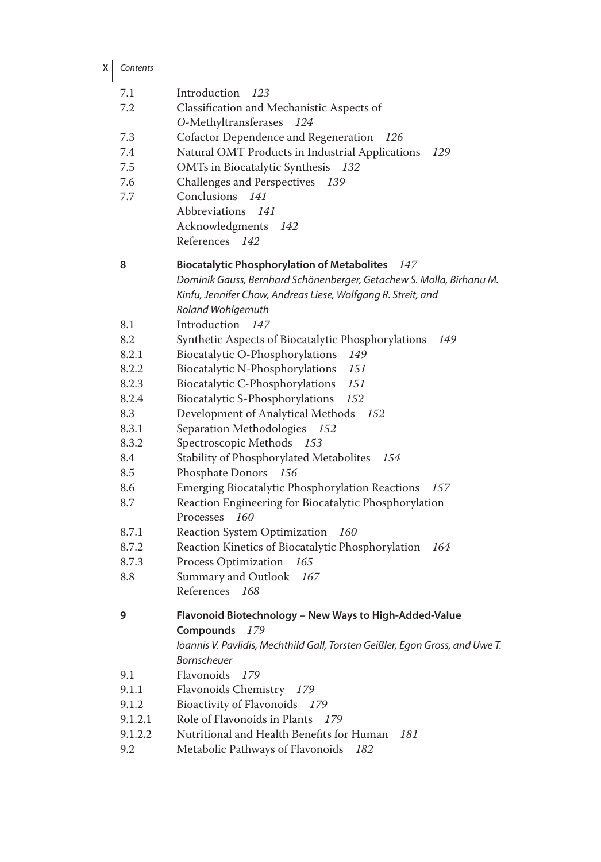**X** Contents

| 7.1     | Introduction<br>123                                                          |
|---------|------------------------------------------------------------------------------|
| 7.2     | Classification and Mechanistic Aspects of                                    |
|         | O-Methyltransferases<br>124                                                  |
| 7.3     | Cofactor Dependence and Regeneration<br>-126                                 |
| 7.4     | Natural OMT Products in Industrial Applications<br>129                       |
| 7.5     | OMTs in Biocatalytic Synthesis<br>132                                        |
| 7.6     | Challenges and Perspectives<br>- 139                                         |
| 7.7     | Conclusions<br>141                                                           |
|         | Abbreviations 141                                                            |
|         | Acknowledgments<br>142                                                       |
|         | References<br>142                                                            |
|         |                                                                              |
| 8       | <b>Biocatalytic Phosphorylation of Metabolites</b><br>147                    |
|         | Dominik Gauss, Bernhard Schönenberger, Getachew S. Molla, Birhanu M.         |
|         | Kinfu, Jennifer Chow, Andreas Liese, Wolfgang R. Streit, and                 |
|         | Roland Wohlgemuth                                                            |
| 8.1     | Introduction<br>147                                                          |
| 8.2     | Synthetic Aspects of Biocatalytic Phosphorylations<br>149                    |
| 8.2.1   | Biocatalytic O-Phosphorylations<br>149                                       |
| 8.2.2   | Biocatalytic N-Phosphorylations<br>151                                       |
| 8.2.3   | Biocatalytic C-Phosphorylations<br>151                                       |
| 8.2.4   | Biocatalytic S-Phosphorylations<br>152                                       |
| 8.3     | Development of Analytical Methods<br>- 152                                   |
| 8.3.1   | Separation Methodologies 152                                                 |
| 8.3.2   | Spectroscopic Methods 153                                                    |
| 8.4     | Stability of Phosphorylated Metabolites<br>154                               |
| 8.5     | Phosphate Donors<br>156                                                      |
| 8.6     | Emerging Biocatalytic Phosphorylation Reactions<br>157                       |
| 8.7     | Reaction Engineering for Biocatalytic Phosphorylation                        |
|         | Processes<br>160                                                             |
| 8.7.1   | Reaction System Optimization<br>160                                          |
| 8.7.2   | Reaction Kinetics of Biocatalytic Phosphorylation<br>164                     |
| 8.7.3   | Process Optimization<br>165                                                  |
| 8.8     | Summary and Outlook<br>167                                                   |
|         | References 168                                                               |
| 9       | Flavonoid Biotechnology - New Ways to High-Added-Value                       |
|         | Compounds 179                                                                |
|         | Ioannis V. Pavlidis, Mechthild Gall, Torsten Geißler, Egon Gross, and Uwe T. |
|         | Bornscheuer                                                                  |
| 9.1     | Flavonoids<br>179                                                            |
| 9.1.1   | Flavonoids Chemistry<br>179                                                  |
| 9.1.2   | <b>Bioactivity of Flavonoids</b><br>179                                      |
| 9.1.2.1 | Role of Flavonoids in Plants<br>179                                          |
| 9.1.2.2 | Nutritional and Health Benefits for Human<br>181                             |
| 9.2     | Metabolic Pathways of Flavonoids<br>182                                      |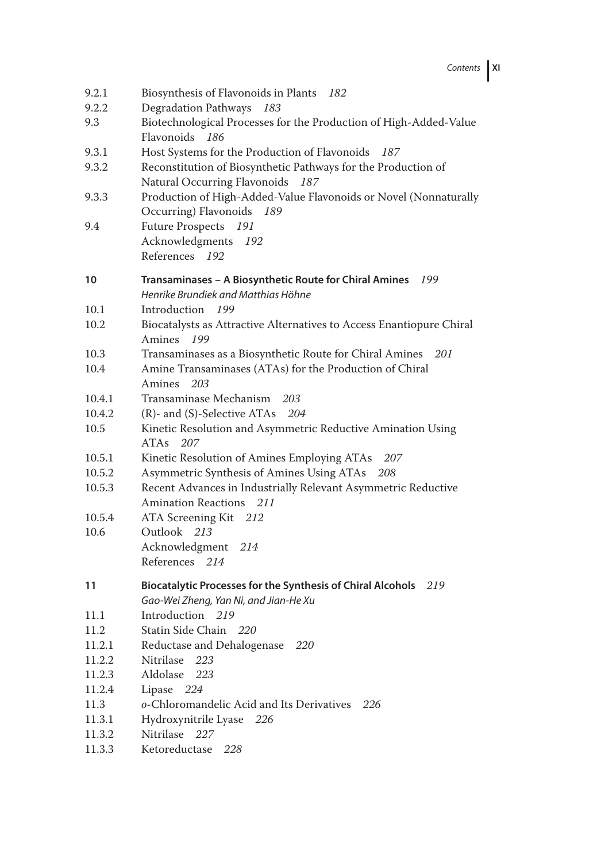Contents **XI**

| Degradation Pathways 183<br>9.2.2<br>Biotechnological Processes for the Production of High-Added-Value<br>9.3<br>Flavonoids 186<br>9.3.1<br>Host Systems for the Production of Flavonoids<br>187<br>Reconstitution of Biosynthetic Pathways for the Production of<br>9.3.2<br>Natural Occurring Flavonoids 187<br>Production of High-Added-Value Flavonoids or Novel (Nonnaturally<br>9.3.3<br>Occurring) Flavonoids 189<br>Future Prospects 191<br>9.4<br>Acknowledgments 192<br>References 192<br>Transaminases - A Biosynthetic Route for Chiral Amines 199<br>10<br>Henrike Brundiek and Matthias Höhne<br>Introduction 199<br>10.1<br>10.2<br>Biocatalysts as Attractive Alternatives to Access Enantiopure Chiral<br>Amines 199<br>10.3<br>Transaminases as a Biosynthetic Route for Chiral Amines<br>201<br>Amine Transaminases (ATAs) for the Production of Chiral<br>10.4<br>Amines<br>203<br>Transaminase Mechanism<br>10.4.1<br>203<br>10.4.2<br>$(R)$ - and $(S)$ -Selective ATAs 204<br>Kinetic Resolution and Asymmetric Reductive Amination Using<br>10.5<br>ATA <sub>s</sub> 207<br>10.5.1<br>Kinetic Resolution of Amines Employing ATAs<br>207<br>Asymmetric Synthesis of Amines Using ATAs<br>10.5.2<br>208<br>10.5.3<br>Recent Advances in Industrially Relevant Asymmetric Reductive<br>Amination Reactions 211<br>10.5.4<br>ATA Screening Kit 212<br>10.6<br>Outlook 213<br>Acknowledgment 214<br>References 214<br>Biocatalytic Processes for the Synthesis of Chiral Alcohols 219<br>11<br>Gao-Wei Zheng, Yan Ni, and Jian-He Xu<br>Introduction 219<br>11.1<br>Statin Side Chain 220<br>11.2<br>Reductase and Dehalogenase<br>11.2.1<br>220<br>11.2.2<br>Nitrilase<br>223<br>Aldolase<br>11.2.3<br>223<br>11.2.4<br>224<br>Lipase<br>11.3<br>o-Chloromandelic Acid and Its Derivatives<br>226<br>11.3.1<br>Hydroxynitrile Lyase<br>226 |        |                                          |
|-----------------------------------------------------------------------------------------------------------------------------------------------------------------------------------------------------------------------------------------------------------------------------------------------------------------------------------------------------------------------------------------------------------------------------------------------------------------------------------------------------------------------------------------------------------------------------------------------------------------------------------------------------------------------------------------------------------------------------------------------------------------------------------------------------------------------------------------------------------------------------------------------------------------------------------------------------------------------------------------------------------------------------------------------------------------------------------------------------------------------------------------------------------------------------------------------------------------------------------------------------------------------------------------------------------------------------------------------------------------------------------------------------------------------------------------------------------------------------------------------------------------------------------------------------------------------------------------------------------------------------------------------------------------------------------------------------------------------------------------------------------------------------------------------------------------------------------------------------------------|--------|------------------------------------------|
|                                                                                                                                                                                                                                                                                                                                                                                                                                                                                                                                                                                                                                                                                                                                                                                                                                                                                                                                                                                                                                                                                                                                                                                                                                                                                                                                                                                                                                                                                                                                                                                                                                                                                                                                                                                                                                                                 | 9.2.1  | Biosynthesis of Flavonoids in Plants 182 |
|                                                                                                                                                                                                                                                                                                                                                                                                                                                                                                                                                                                                                                                                                                                                                                                                                                                                                                                                                                                                                                                                                                                                                                                                                                                                                                                                                                                                                                                                                                                                                                                                                                                                                                                                                                                                                                                                 |        |                                          |
|                                                                                                                                                                                                                                                                                                                                                                                                                                                                                                                                                                                                                                                                                                                                                                                                                                                                                                                                                                                                                                                                                                                                                                                                                                                                                                                                                                                                                                                                                                                                                                                                                                                                                                                                                                                                                                                                 |        |                                          |
|                                                                                                                                                                                                                                                                                                                                                                                                                                                                                                                                                                                                                                                                                                                                                                                                                                                                                                                                                                                                                                                                                                                                                                                                                                                                                                                                                                                                                                                                                                                                                                                                                                                                                                                                                                                                                                                                 |        |                                          |
|                                                                                                                                                                                                                                                                                                                                                                                                                                                                                                                                                                                                                                                                                                                                                                                                                                                                                                                                                                                                                                                                                                                                                                                                                                                                                                                                                                                                                                                                                                                                                                                                                                                                                                                                                                                                                                                                 |        |                                          |
|                                                                                                                                                                                                                                                                                                                                                                                                                                                                                                                                                                                                                                                                                                                                                                                                                                                                                                                                                                                                                                                                                                                                                                                                                                                                                                                                                                                                                                                                                                                                                                                                                                                                                                                                                                                                                                                                 |        |                                          |
|                                                                                                                                                                                                                                                                                                                                                                                                                                                                                                                                                                                                                                                                                                                                                                                                                                                                                                                                                                                                                                                                                                                                                                                                                                                                                                                                                                                                                                                                                                                                                                                                                                                                                                                                                                                                                                                                 |        |                                          |
|                                                                                                                                                                                                                                                                                                                                                                                                                                                                                                                                                                                                                                                                                                                                                                                                                                                                                                                                                                                                                                                                                                                                                                                                                                                                                                                                                                                                                                                                                                                                                                                                                                                                                                                                                                                                                                                                 |        |                                          |
|                                                                                                                                                                                                                                                                                                                                                                                                                                                                                                                                                                                                                                                                                                                                                                                                                                                                                                                                                                                                                                                                                                                                                                                                                                                                                                                                                                                                                                                                                                                                                                                                                                                                                                                                                                                                                                                                 |        |                                          |
|                                                                                                                                                                                                                                                                                                                                                                                                                                                                                                                                                                                                                                                                                                                                                                                                                                                                                                                                                                                                                                                                                                                                                                                                                                                                                                                                                                                                                                                                                                                                                                                                                                                                                                                                                                                                                                                                 |        |                                          |
|                                                                                                                                                                                                                                                                                                                                                                                                                                                                                                                                                                                                                                                                                                                                                                                                                                                                                                                                                                                                                                                                                                                                                                                                                                                                                                                                                                                                                                                                                                                                                                                                                                                                                                                                                                                                                                                                 |        |                                          |
|                                                                                                                                                                                                                                                                                                                                                                                                                                                                                                                                                                                                                                                                                                                                                                                                                                                                                                                                                                                                                                                                                                                                                                                                                                                                                                                                                                                                                                                                                                                                                                                                                                                                                                                                                                                                                                                                 |        |                                          |
|                                                                                                                                                                                                                                                                                                                                                                                                                                                                                                                                                                                                                                                                                                                                                                                                                                                                                                                                                                                                                                                                                                                                                                                                                                                                                                                                                                                                                                                                                                                                                                                                                                                                                                                                                                                                                                                                 |        |                                          |
|                                                                                                                                                                                                                                                                                                                                                                                                                                                                                                                                                                                                                                                                                                                                                                                                                                                                                                                                                                                                                                                                                                                                                                                                                                                                                                                                                                                                                                                                                                                                                                                                                                                                                                                                                                                                                                                                 |        |                                          |
|                                                                                                                                                                                                                                                                                                                                                                                                                                                                                                                                                                                                                                                                                                                                                                                                                                                                                                                                                                                                                                                                                                                                                                                                                                                                                                                                                                                                                                                                                                                                                                                                                                                                                                                                                                                                                                                                 |        |                                          |
|                                                                                                                                                                                                                                                                                                                                                                                                                                                                                                                                                                                                                                                                                                                                                                                                                                                                                                                                                                                                                                                                                                                                                                                                                                                                                                                                                                                                                                                                                                                                                                                                                                                                                                                                                                                                                                                                 |        |                                          |
|                                                                                                                                                                                                                                                                                                                                                                                                                                                                                                                                                                                                                                                                                                                                                                                                                                                                                                                                                                                                                                                                                                                                                                                                                                                                                                                                                                                                                                                                                                                                                                                                                                                                                                                                                                                                                                                                 |        |                                          |
|                                                                                                                                                                                                                                                                                                                                                                                                                                                                                                                                                                                                                                                                                                                                                                                                                                                                                                                                                                                                                                                                                                                                                                                                                                                                                                                                                                                                                                                                                                                                                                                                                                                                                                                                                                                                                                                                 |        |                                          |
|                                                                                                                                                                                                                                                                                                                                                                                                                                                                                                                                                                                                                                                                                                                                                                                                                                                                                                                                                                                                                                                                                                                                                                                                                                                                                                                                                                                                                                                                                                                                                                                                                                                                                                                                                                                                                                                                 |        |                                          |
|                                                                                                                                                                                                                                                                                                                                                                                                                                                                                                                                                                                                                                                                                                                                                                                                                                                                                                                                                                                                                                                                                                                                                                                                                                                                                                                                                                                                                                                                                                                                                                                                                                                                                                                                                                                                                                                                 |        |                                          |
|                                                                                                                                                                                                                                                                                                                                                                                                                                                                                                                                                                                                                                                                                                                                                                                                                                                                                                                                                                                                                                                                                                                                                                                                                                                                                                                                                                                                                                                                                                                                                                                                                                                                                                                                                                                                                                                                 |        |                                          |
|                                                                                                                                                                                                                                                                                                                                                                                                                                                                                                                                                                                                                                                                                                                                                                                                                                                                                                                                                                                                                                                                                                                                                                                                                                                                                                                                                                                                                                                                                                                                                                                                                                                                                                                                                                                                                                                                 |        |                                          |
|                                                                                                                                                                                                                                                                                                                                                                                                                                                                                                                                                                                                                                                                                                                                                                                                                                                                                                                                                                                                                                                                                                                                                                                                                                                                                                                                                                                                                                                                                                                                                                                                                                                                                                                                                                                                                                                                 |        |                                          |
|                                                                                                                                                                                                                                                                                                                                                                                                                                                                                                                                                                                                                                                                                                                                                                                                                                                                                                                                                                                                                                                                                                                                                                                                                                                                                                                                                                                                                                                                                                                                                                                                                                                                                                                                                                                                                                                                 |        |                                          |
|                                                                                                                                                                                                                                                                                                                                                                                                                                                                                                                                                                                                                                                                                                                                                                                                                                                                                                                                                                                                                                                                                                                                                                                                                                                                                                                                                                                                                                                                                                                                                                                                                                                                                                                                                                                                                                                                 |        |                                          |
|                                                                                                                                                                                                                                                                                                                                                                                                                                                                                                                                                                                                                                                                                                                                                                                                                                                                                                                                                                                                                                                                                                                                                                                                                                                                                                                                                                                                                                                                                                                                                                                                                                                                                                                                                                                                                                                                 |        |                                          |
|                                                                                                                                                                                                                                                                                                                                                                                                                                                                                                                                                                                                                                                                                                                                                                                                                                                                                                                                                                                                                                                                                                                                                                                                                                                                                                                                                                                                                                                                                                                                                                                                                                                                                                                                                                                                                                                                 |        |                                          |
|                                                                                                                                                                                                                                                                                                                                                                                                                                                                                                                                                                                                                                                                                                                                                                                                                                                                                                                                                                                                                                                                                                                                                                                                                                                                                                                                                                                                                                                                                                                                                                                                                                                                                                                                                                                                                                                                 |        |                                          |
|                                                                                                                                                                                                                                                                                                                                                                                                                                                                                                                                                                                                                                                                                                                                                                                                                                                                                                                                                                                                                                                                                                                                                                                                                                                                                                                                                                                                                                                                                                                                                                                                                                                                                                                                                                                                                                                                 |        |                                          |
|                                                                                                                                                                                                                                                                                                                                                                                                                                                                                                                                                                                                                                                                                                                                                                                                                                                                                                                                                                                                                                                                                                                                                                                                                                                                                                                                                                                                                                                                                                                                                                                                                                                                                                                                                                                                                                                                 |        |                                          |
|                                                                                                                                                                                                                                                                                                                                                                                                                                                                                                                                                                                                                                                                                                                                                                                                                                                                                                                                                                                                                                                                                                                                                                                                                                                                                                                                                                                                                                                                                                                                                                                                                                                                                                                                                                                                                                                                 |        |                                          |
|                                                                                                                                                                                                                                                                                                                                                                                                                                                                                                                                                                                                                                                                                                                                                                                                                                                                                                                                                                                                                                                                                                                                                                                                                                                                                                                                                                                                                                                                                                                                                                                                                                                                                                                                                                                                                                                                 |        |                                          |
|                                                                                                                                                                                                                                                                                                                                                                                                                                                                                                                                                                                                                                                                                                                                                                                                                                                                                                                                                                                                                                                                                                                                                                                                                                                                                                                                                                                                                                                                                                                                                                                                                                                                                                                                                                                                                                                                 |        |                                          |
|                                                                                                                                                                                                                                                                                                                                                                                                                                                                                                                                                                                                                                                                                                                                                                                                                                                                                                                                                                                                                                                                                                                                                                                                                                                                                                                                                                                                                                                                                                                                                                                                                                                                                                                                                                                                                                                                 |        |                                          |
|                                                                                                                                                                                                                                                                                                                                                                                                                                                                                                                                                                                                                                                                                                                                                                                                                                                                                                                                                                                                                                                                                                                                                                                                                                                                                                                                                                                                                                                                                                                                                                                                                                                                                                                                                                                                                                                                 |        |                                          |
|                                                                                                                                                                                                                                                                                                                                                                                                                                                                                                                                                                                                                                                                                                                                                                                                                                                                                                                                                                                                                                                                                                                                                                                                                                                                                                                                                                                                                                                                                                                                                                                                                                                                                                                                                                                                                                                                 |        |                                          |
|                                                                                                                                                                                                                                                                                                                                                                                                                                                                                                                                                                                                                                                                                                                                                                                                                                                                                                                                                                                                                                                                                                                                                                                                                                                                                                                                                                                                                                                                                                                                                                                                                                                                                                                                                                                                                                                                 |        |                                          |
|                                                                                                                                                                                                                                                                                                                                                                                                                                                                                                                                                                                                                                                                                                                                                                                                                                                                                                                                                                                                                                                                                                                                                                                                                                                                                                                                                                                                                                                                                                                                                                                                                                                                                                                                                                                                                                                                 |        |                                          |
|                                                                                                                                                                                                                                                                                                                                                                                                                                                                                                                                                                                                                                                                                                                                                                                                                                                                                                                                                                                                                                                                                                                                                                                                                                                                                                                                                                                                                                                                                                                                                                                                                                                                                                                                                                                                                                                                 |        |                                          |
|                                                                                                                                                                                                                                                                                                                                                                                                                                                                                                                                                                                                                                                                                                                                                                                                                                                                                                                                                                                                                                                                                                                                                                                                                                                                                                                                                                                                                                                                                                                                                                                                                                                                                                                                                                                                                                                                 |        |                                          |
|                                                                                                                                                                                                                                                                                                                                                                                                                                                                                                                                                                                                                                                                                                                                                                                                                                                                                                                                                                                                                                                                                                                                                                                                                                                                                                                                                                                                                                                                                                                                                                                                                                                                                                                                                                                                                                                                 |        |                                          |
|                                                                                                                                                                                                                                                                                                                                                                                                                                                                                                                                                                                                                                                                                                                                                                                                                                                                                                                                                                                                                                                                                                                                                                                                                                                                                                                                                                                                                                                                                                                                                                                                                                                                                                                                                                                                                                                                 |        |                                          |
|                                                                                                                                                                                                                                                                                                                                                                                                                                                                                                                                                                                                                                                                                                                                                                                                                                                                                                                                                                                                                                                                                                                                                                                                                                                                                                                                                                                                                                                                                                                                                                                                                                                                                                                                                                                                                                                                 |        |                                          |
|                                                                                                                                                                                                                                                                                                                                                                                                                                                                                                                                                                                                                                                                                                                                                                                                                                                                                                                                                                                                                                                                                                                                                                                                                                                                                                                                                                                                                                                                                                                                                                                                                                                                                                                                                                                                                                                                 |        |                                          |
|                                                                                                                                                                                                                                                                                                                                                                                                                                                                                                                                                                                                                                                                                                                                                                                                                                                                                                                                                                                                                                                                                                                                                                                                                                                                                                                                                                                                                                                                                                                                                                                                                                                                                                                                                                                                                                                                 |        |                                          |
|                                                                                                                                                                                                                                                                                                                                                                                                                                                                                                                                                                                                                                                                                                                                                                                                                                                                                                                                                                                                                                                                                                                                                                                                                                                                                                                                                                                                                                                                                                                                                                                                                                                                                                                                                                                                                                                                 |        |                                          |
| 11.3.2<br>Nitrilase 227                                                                                                                                                                                                                                                                                                                                                                                                                                                                                                                                                                                                                                                                                                                                                                                                                                                                                                                                                                                                                                                                                                                                                                                                                                                                                                                                                                                                                                                                                                                                                                                                                                                                                                                                                                                                                                         |        |                                          |
|                                                                                                                                                                                                                                                                                                                                                                                                                                                                                                                                                                                                                                                                                                                                                                                                                                                                                                                                                                                                                                                                                                                                                                                                                                                                                                                                                                                                                                                                                                                                                                                                                                                                                                                                                                                                                                                                 | 11.3.3 | Ketoreductase<br>228                     |
|                                                                                                                                                                                                                                                                                                                                                                                                                                                                                                                                                                                                                                                                                                                                                                                                                                                                                                                                                                                                                                                                                                                                                                                                                                                                                                                                                                                                                                                                                                                                                                                                                                                                                                                                                                                                                                                                 |        |                                          |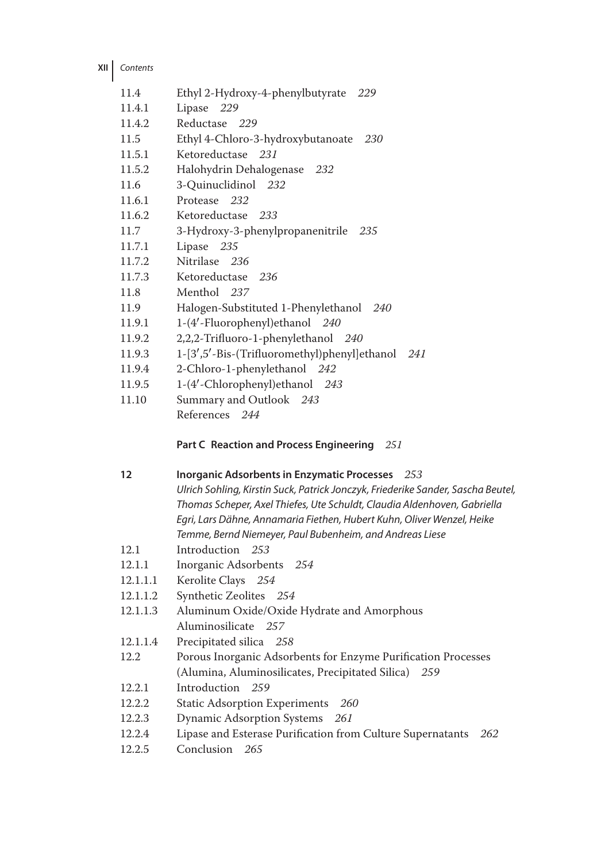**XII** Contents

| 11.4   | Ethyl 2-Hydroxy-4-phenylbutyrate 229                |
|--------|-----------------------------------------------------|
| 11.4.1 | Lipase 229                                          |
| 11.4.2 | Reductase 229                                       |
| 11.5   | Ethyl 4-Chloro-3-hydroxybutanoate<br>230            |
| 11.5.1 | Ketoreductase 231                                   |
| 11.5.2 | Halohydrin Dehalogenase 232                         |
| 11.6   | 3-Quinuclidinol 232                                 |
| 11.6.1 | Protease 232                                        |
| 11.6.2 | Ketoreductase 233                                   |
| 11.7   | 3-Hydroxy-3-phenylpropanenitrile 235                |
| 11.7.1 | Lipase 235                                          |
| 11.7.2 | Nitrilase 236                                       |
| 11.7.3 | Ketoreductase 236                                   |
| 11.8   | Menthol 237                                         |
| 11.9   | Halogen-Substituted 1-Phenylethanol 240             |
| 11.9.1 | 1-(4'-Fluorophenyl) ethanol 240                     |
| 11.9.2 | 2,2,2-Trifluoro-1-phenylethanol 240                 |
| 11.9.3 | 1-[3',5'-Bis-(Trifluoromethyl)phenyl]ethanol<br>241 |
| 11.9.4 | 2-Chloro-1-phenylethanol 242                        |
| 11.9.5 | 1-(4'-Chlorophenyl)ethanol 243                      |
| 11.10  | Summary and Outlook 243                             |
|        | References 244                                      |

## **Part C Reaction and Process Engineering** *251*

| 12       | Inorganic Adsorbents in Enzymatic Processes 253<br>Ulrich Sohling, Kirstin Suck, Patrick Jonczyk, Friederike Sander, Sascha Beutel,<br>Thomas Scheper, Axel Thiefes, Ute Schuldt, Claudia Aldenhoven, Gabriella<br>Egri, Lars Dähne, Annamaria Fiethen, Hubert Kuhn, Oliver Wenzel, Heike<br>Temme, Bernd Niemeyer, Paul Bubenheim, and Andreas Liese |
|----------|-------------------------------------------------------------------------------------------------------------------------------------------------------------------------------------------------------------------------------------------------------------------------------------------------------------------------------------------------------|
| 12.1     | Introduction 253                                                                                                                                                                                                                                                                                                                                      |
| 12.1.1   | Inorganic Adsorbents 254                                                                                                                                                                                                                                                                                                                              |
| 12.1.1.1 | Kerolite Clays 254                                                                                                                                                                                                                                                                                                                                    |
| 12.1.1.2 | Synthetic Zeolites 254                                                                                                                                                                                                                                                                                                                                |
| 12.1.1.3 | Aluminum Oxide/Oxide Hydrate and Amorphous                                                                                                                                                                                                                                                                                                            |
|          | Aluminosilicate 257                                                                                                                                                                                                                                                                                                                                   |
| 12.1.1.4 | Precipitated silica 258                                                                                                                                                                                                                                                                                                                               |
| 12.2     | Porous Inorganic Adsorbents for Enzyme Purification Processes                                                                                                                                                                                                                                                                                         |
|          | (Alumina, Aluminosilicates, Precipitated Silica) 259                                                                                                                                                                                                                                                                                                  |
| 12.2.1   | Introduction 259                                                                                                                                                                                                                                                                                                                                      |
| 12.2.2   | Static Adsorption Experiments 260                                                                                                                                                                                                                                                                                                                     |
| 12.2.3   | Dynamic Adsorption Systems 261                                                                                                                                                                                                                                                                                                                        |
| 12.2.4   | Lipase and Esterase Purification from Culture Supernatants<br>262                                                                                                                                                                                                                                                                                     |
| 12.2.5   | Conclusion 265                                                                                                                                                                                                                                                                                                                                        |
|          |                                                                                                                                                                                                                                                                                                                                                       |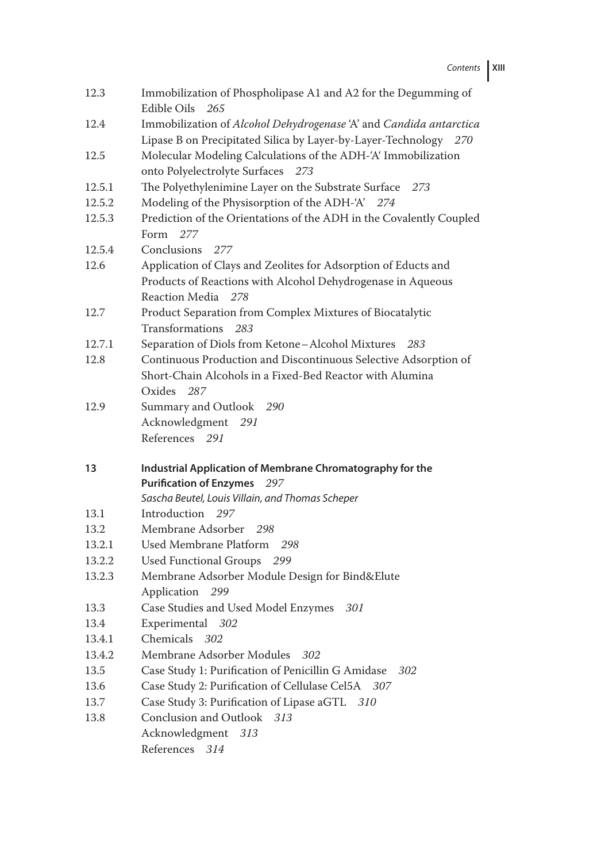Contents **XIII**

| 12.3   | Immobilization of Phospholipase A1 and A2 for the Degumming of<br>Edible Oils<br>- 265    |
|--------|-------------------------------------------------------------------------------------------|
| 12.4   | Immobilization of Alcohol Dehydrogenase 'A' and Candida antarctica                        |
|        | Lipase B on Precipitated Silica by Layer-by-Layer-Technology 270                          |
| 12.5   | Molecular Modeling Calculations of the ADH-'A' Immobilization                             |
|        | onto Polyelectrolyte Surfaces 273                                                         |
| 12.5.1 | The Polyethylenimine Layer on the Substrate Surface 273                                   |
| 12.5.2 | Modeling of the Physisorption of the ADH-'A' 274                                          |
| 12.5.3 | Prediction of the Orientations of the ADH in the Covalently Coupled                       |
|        | Form $277$                                                                                |
| 12.5.4 | Conclusions<br>277                                                                        |
| 12.6   | Application of Clays and Zeolites for Adsorption of Educts and                            |
|        | Products of Reactions with Alcohol Dehydrogenase in Aqueous                               |
|        | Reaction Media<br>278                                                                     |
| 12.7   | Product Separation from Complex Mixtures of Biocatalytic                                  |
|        | Transformations 283                                                                       |
| 12.7.1 | Separation of Diols from Ketone-Alcohol Mixtures<br>-283                                  |
| 12.8   | Continuous Production and Discontinuous Selective Adsorption of                           |
|        | Short-Chain Alcohols in a Fixed-Bed Reactor with Alumina                                  |
|        | Oxides 287                                                                                |
| 12.9   | Summary and Outlook 290                                                                   |
|        |                                                                                           |
|        | Acknowledgment 291                                                                        |
|        | References 291                                                                            |
|        |                                                                                           |
| 13     | Industrial Application of Membrane Chromatography for the                                 |
|        | <b>Purification of Enzymes</b><br>297<br>Sascha Beutel, Louis Villain, and Thomas Scheper |
| 13.1   | Introduction 297                                                                          |
| 13.2   | Membrane Adsorber 298                                                                     |
| 13.2.1 | Used Membrane Platform<br>298                                                             |
| 13.2.2 | Used Functional Groups 299                                                                |
| 13.2.3 | Membrane Adsorber Module Design for Bind&Elute                                            |
|        | Application 299                                                                           |
| 13.3   | Case Studies and Used Model Enzymes<br>301                                                |
| 13.4   | Experimental 302                                                                          |
| 13.4.1 | Chemicals 302                                                                             |
| 13.4.2 | Membrane Adsorber Modules<br>302                                                          |
| 13.5   | Case Study 1: Purification of Penicillin G Amidase<br>302                                 |
| 13.6   | Case Study 2: Purification of Cellulase Cel5A<br>- 307                                    |
| 13.7   | Case Study 3: Purification of Lipase aGTL 310                                             |
| 13.8   | Conclusion and Outlook<br>313                                                             |
|        | Acknowledgment<br>313<br>References<br>314                                                |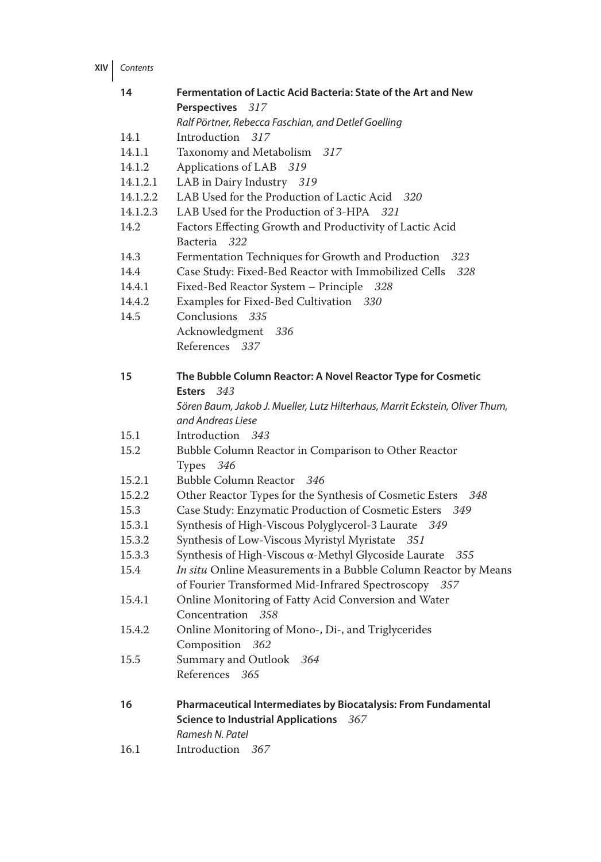**XIV** Contents

| Perspectives 317<br>Ralf Pörtner, Rebecca Faschian, and Detlef Goelling<br>Introduction 317<br>14.1<br>14.1.1<br>Taxonomy and Metabolism 317<br>Applications of LAB 319<br>14.1.2<br>LAB in Dairy Industry 319<br>14.1.2.1<br>LAB Used for the Production of Lactic Acid 320<br>14.1.2.2<br>LAB Used for the Production of 3-HPA 321<br>14.1.2.3<br>14.2<br>Factors Effecting Growth and Productivity of Lactic Acid<br>Bacteria 322<br>Fermentation Techniques for Growth and Production 323<br>14.3<br>Case Study: Fixed-Bed Reactor with Immobilized Cells<br>14.4<br>328<br>Fixed-Bed Reactor System - Principle 328<br>14.4.1<br>Examples for Fixed-Bed Cultivation 330<br>14.4.2<br>Conclusions 335<br>14.5<br>Acknowledgment 336<br>References 337<br>The Bubble Column Reactor: A Novel Reactor Type for Cosmetic<br>15<br>Esters 343<br>Sören Baum, Jakob J. Mueller, Lutz Hilterhaus, Marrit Eckstein, Oliver Thum,<br>and Andreas Liese<br>Introduction 343<br>15.1<br>15.2<br>Bubble Column Reactor in Comparison to Other Reactor<br>Types 346<br>Bubble Column Reactor 346<br>15.2.1 |
|----------------------------------------------------------------------------------------------------------------------------------------------------------------------------------------------------------------------------------------------------------------------------------------------------------------------------------------------------------------------------------------------------------------------------------------------------------------------------------------------------------------------------------------------------------------------------------------------------------------------------------------------------------------------------------------------------------------------------------------------------------------------------------------------------------------------------------------------------------------------------------------------------------------------------------------------------------------------------------------------------------------------------------------------------------------------------------------------------|
|                                                                                                                                                                                                                                                                                                                                                                                                                                                                                                                                                                                                                                                                                                                                                                                                                                                                                                                                                                                                                                                                                                    |
|                                                                                                                                                                                                                                                                                                                                                                                                                                                                                                                                                                                                                                                                                                                                                                                                                                                                                                                                                                                                                                                                                                    |
|                                                                                                                                                                                                                                                                                                                                                                                                                                                                                                                                                                                                                                                                                                                                                                                                                                                                                                                                                                                                                                                                                                    |
|                                                                                                                                                                                                                                                                                                                                                                                                                                                                                                                                                                                                                                                                                                                                                                                                                                                                                                                                                                                                                                                                                                    |
|                                                                                                                                                                                                                                                                                                                                                                                                                                                                                                                                                                                                                                                                                                                                                                                                                                                                                                                                                                                                                                                                                                    |
|                                                                                                                                                                                                                                                                                                                                                                                                                                                                                                                                                                                                                                                                                                                                                                                                                                                                                                                                                                                                                                                                                                    |
|                                                                                                                                                                                                                                                                                                                                                                                                                                                                                                                                                                                                                                                                                                                                                                                                                                                                                                                                                                                                                                                                                                    |
|                                                                                                                                                                                                                                                                                                                                                                                                                                                                                                                                                                                                                                                                                                                                                                                                                                                                                                                                                                                                                                                                                                    |
|                                                                                                                                                                                                                                                                                                                                                                                                                                                                                                                                                                                                                                                                                                                                                                                                                                                                                                                                                                                                                                                                                                    |
|                                                                                                                                                                                                                                                                                                                                                                                                                                                                                                                                                                                                                                                                                                                                                                                                                                                                                                                                                                                                                                                                                                    |
|                                                                                                                                                                                                                                                                                                                                                                                                                                                                                                                                                                                                                                                                                                                                                                                                                                                                                                                                                                                                                                                                                                    |
|                                                                                                                                                                                                                                                                                                                                                                                                                                                                                                                                                                                                                                                                                                                                                                                                                                                                                                                                                                                                                                                                                                    |
|                                                                                                                                                                                                                                                                                                                                                                                                                                                                                                                                                                                                                                                                                                                                                                                                                                                                                                                                                                                                                                                                                                    |
|                                                                                                                                                                                                                                                                                                                                                                                                                                                                                                                                                                                                                                                                                                                                                                                                                                                                                                                                                                                                                                                                                                    |
|                                                                                                                                                                                                                                                                                                                                                                                                                                                                                                                                                                                                                                                                                                                                                                                                                                                                                                                                                                                                                                                                                                    |
|                                                                                                                                                                                                                                                                                                                                                                                                                                                                                                                                                                                                                                                                                                                                                                                                                                                                                                                                                                                                                                                                                                    |
|                                                                                                                                                                                                                                                                                                                                                                                                                                                                                                                                                                                                                                                                                                                                                                                                                                                                                                                                                                                                                                                                                                    |
|                                                                                                                                                                                                                                                                                                                                                                                                                                                                                                                                                                                                                                                                                                                                                                                                                                                                                                                                                                                                                                                                                                    |
|                                                                                                                                                                                                                                                                                                                                                                                                                                                                                                                                                                                                                                                                                                                                                                                                                                                                                                                                                                                                                                                                                                    |
|                                                                                                                                                                                                                                                                                                                                                                                                                                                                                                                                                                                                                                                                                                                                                                                                                                                                                                                                                                                                                                                                                                    |
|                                                                                                                                                                                                                                                                                                                                                                                                                                                                                                                                                                                                                                                                                                                                                                                                                                                                                                                                                                                                                                                                                                    |
|                                                                                                                                                                                                                                                                                                                                                                                                                                                                                                                                                                                                                                                                                                                                                                                                                                                                                                                                                                                                                                                                                                    |
|                                                                                                                                                                                                                                                                                                                                                                                                                                                                                                                                                                                                                                                                                                                                                                                                                                                                                                                                                                                                                                                                                                    |
|                                                                                                                                                                                                                                                                                                                                                                                                                                                                                                                                                                                                                                                                                                                                                                                                                                                                                                                                                                                                                                                                                                    |
| Other Reactor Types for the Synthesis of Cosmetic Esters 348<br>15.2.2                                                                                                                                                                                                                                                                                                                                                                                                                                                                                                                                                                                                                                                                                                                                                                                                                                                                                                                                                                                                                             |
| Case Study: Enzymatic Production of Cosmetic Esters 349<br>15.3                                                                                                                                                                                                                                                                                                                                                                                                                                                                                                                                                                                                                                                                                                                                                                                                                                                                                                                                                                                                                                    |
| Synthesis of High-Viscous Polyglycerol-3 Laurate 349<br>15.3.1                                                                                                                                                                                                                                                                                                                                                                                                                                                                                                                                                                                                                                                                                                                                                                                                                                                                                                                                                                                                                                     |
| 15.3.2<br>Synthesis of Low-Viscous Myristyl Myristate 351                                                                                                                                                                                                                                                                                                                                                                                                                                                                                                                                                                                                                                                                                                                                                                                                                                                                                                                                                                                                                                          |
| 15.3.3<br>Synthesis of High-Viscous $\alpha$ -Methyl Glycoside Laurate<br>- 355                                                                                                                                                                                                                                                                                                                                                                                                                                                                                                                                                                                                                                                                                                                                                                                                                                                                                                                                                                                                                    |
| In situ Online Measurements in a Bubble Column Reactor by Means<br>15.4<br>of Fourier Transformed Mid-Infrared Spectroscopy 357                                                                                                                                                                                                                                                                                                                                                                                                                                                                                                                                                                                                                                                                                                                                                                                                                                                                                                                                                                    |
| 15.4.1<br>Online Monitoring of Fatty Acid Conversion and Water<br>Concentration 358                                                                                                                                                                                                                                                                                                                                                                                                                                                                                                                                                                                                                                                                                                                                                                                                                                                                                                                                                                                                                |
| Online Monitoring of Mono-, Di-, and Triglycerides<br>15.4.2                                                                                                                                                                                                                                                                                                                                                                                                                                                                                                                                                                                                                                                                                                                                                                                                                                                                                                                                                                                                                                       |
| Composition 362                                                                                                                                                                                                                                                                                                                                                                                                                                                                                                                                                                                                                                                                                                                                                                                                                                                                                                                                                                                                                                                                                    |
| Summary and Outlook 364<br>15.5                                                                                                                                                                                                                                                                                                                                                                                                                                                                                                                                                                                                                                                                                                                                                                                                                                                                                                                                                                                                                                                                    |
| References 365                                                                                                                                                                                                                                                                                                                                                                                                                                                                                                                                                                                                                                                                                                                                                                                                                                                                                                                                                                                                                                                                                     |
|                                                                                                                                                                                                                                                                                                                                                                                                                                                                                                                                                                                                                                                                                                                                                                                                                                                                                                                                                                                                                                                                                                    |
| 16<br>Pharmaceutical Intermediates by Biocatalysis: From Fundamental                                                                                                                                                                                                                                                                                                                                                                                                                                                                                                                                                                                                                                                                                                                                                                                                                                                                                                                                                                                                                               |
| <b>Science to Industrial Applications</b><br>367                                                                                                                                                                                                                                                                                                                                                                                                                                                                                                                                                                                                                                                                                                                                                                                                                                                                                                                                                                                                                                                   |
| Ramesh N. Patel                                                                                                                                                                                                                                                                                                                                                                                                                                                                                                                                                                                                                                                                                                                                                                                                                                                                                                                                                                                                                                                                                    |
| Introduction 367<br>16.1                                                                                                                                                                                                                                                                                                                                                                                                                                                                                                                                                                                                                                                                                                                                                                                                                                                                                                                                                                                                                                                                           |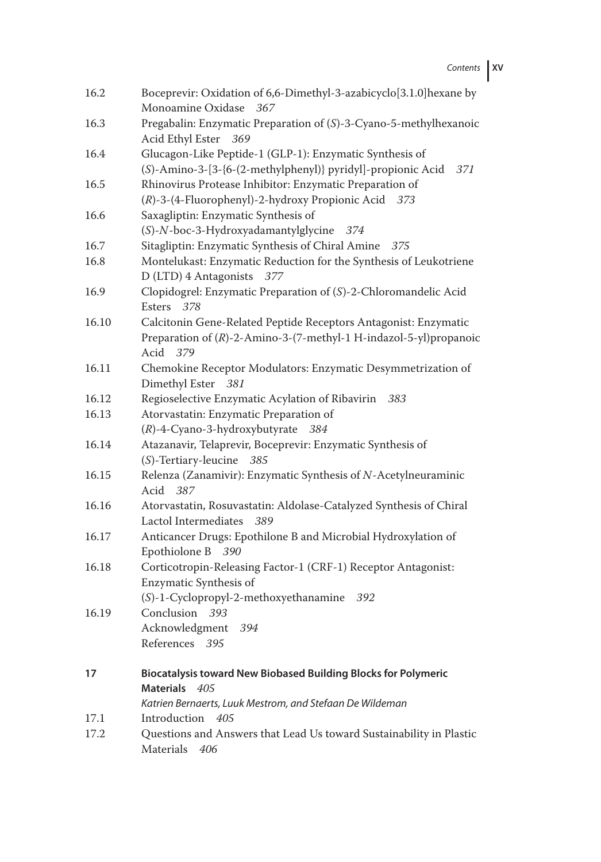Contents **XV**

| 16.2  | Boceprevir: Oxidation of 6,6-Dimethyl-3-azabicyclo[3.1.0]hexane by<br>Monoamine Oxidase<br>367                                                    |
|-------|---------------------------------------------------------------------------------------------------------------------------------------------------|
| 16.3  | Pregabalin: Enzymatic Preparation of (S)-3-Cyano-5-methylhexanoic<br>Acid Ethyl Ester<br>369                                                      |
| 16.4  | Glucagon-Like Peptide-1 (GLP-1): Enzymatic Synthesis of<br>(S)-Amino-3-[3-{6-(2-methylphenyl)} pyridyl]-propionic Acid<br>371                     |
| 16.5  | Rhinovirus Protease Inhibitor: Enzymatic Preparation of<br>(R)-3-(4-Fluorophenyl)-2-hydroxy Propionic Acid 373                                    |
| 16.6  | Saxagliptin: Enzymatic Synthesis of<br>(S)-N-boc-3-Hydroxyadamantylglycine<br>374                                                                 |
| 16.7  | Sitagliptin: Enzymatic Synthesis of Chiral Amine<br>.375                                                                                          |
| 16.8  | Montelukast: Enzymatic Reduction for the Synthesis of Leukotriene<br>D (LTD) 4 Antagonists 377                                                    |
| 16.9  | Clopidogrel: Enzymatic Preparation of (S)-2-Chloromandelic Acid<br>Esters 378                                                                     |
| 16.10 | Calcitonin Gene-Related Peptide Receptors Antagonist: Enzymatic<br>Preparation of (R)-2-Amino-3-(7-methyl-1 H-indazol-5-yl) propanoic<br>Acid 379 |
| 16.11 | Chemokine Receptor Modulators: Enzymatic Desymmetrization of<br>Dimethyl Ester<br>381                                                             |
| 16.12 | Regioselective Enzymatic Acylation of Ribavirin<br>383                                                                                            |
| 16.13 | Atorvastatin: Enzymatic Preparation of                                                                                                            |
|       | $(R)$ -4-Cyano-3-hydroxybutyrate 384                                                                                                              |
| 16.14 | Atazanavir, Telaprevir, Boceprevir: Enzymatic Synthesis of<br>(S)-Tertiary-leucine 385                                                            |
| 16.15 | Relenza (Zanamivir): Enzymatic Synthesis of N-Acetylneuraminic<br>Acid<br>- 387                                                                   |
| 16.16 | Atorvastatin, Rosuvastatin: Aldolase-Catalyzed Synthesis of Chiral<br>Lactol Intermediates<br>389                                                 |
| 16.17 | Anticancer Drugs: Epothilone B and Microbial Hydroxylation of<br>Epothiolone B 390                                                                |
| 16.18 | Corticotropin-Releasing Factor-1 (CRF-1) Receptor Antagonist:<br>Enzymatic Synthesis of<br>(S)-1-Cyclopropyl-2-methoxyethanamine<br>392           |
| 16.19 | Conclusion 393<br>Acknowledgment<br>394<br>References<br>395                                                                                      |
| 17    | Biocatalysis toward New Biobased Building Blocks for Polymeric<br><b>Materials</b><br>- 405                                                       |
|       | Katrien Bernaerts, Luuk Mestrom, and Stefaan De Wildeman                                                                                          |
| 17.1  | Introduction<br>405                                                                                                                               |
| 17.2  | Questions and Answers that Lead Us toward Sustainability in Plastic<br>Materials<br>406                                                           |